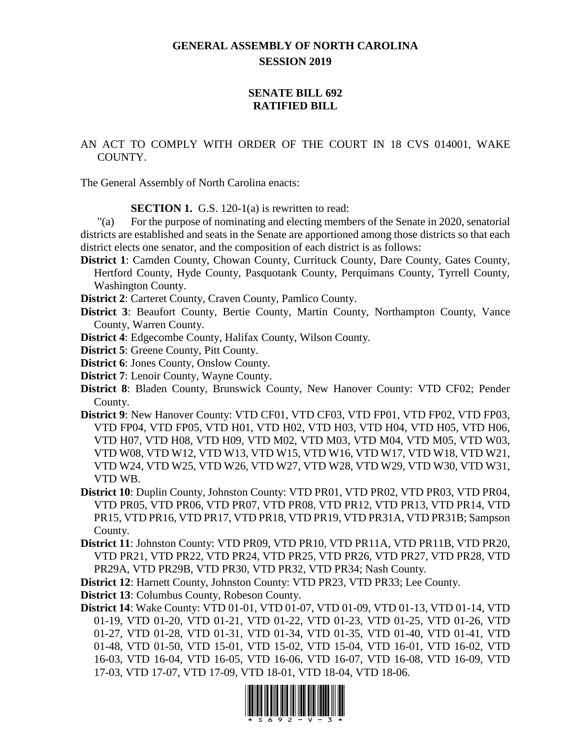## **GENERAL ASSEMBLY OF NORTH CAROLINA SESSION 2019**

## **SENATE BILL 692 RATIFIED BILL**

AN ACT TO COMPLY WITH ORDER OF THE COURT IN 18 CVS 014001, WAKE COUNTY.

The General Assembly of North Carolina enacts:

**SECTION 1.** G.S. 120-1(a) is rewritten to read:

"(a) For the purpose of nominating and electing members of the Senate in 2020, senatorial districts are established and seats in the Senate are apportioned among those districts so that each district elects one senator, and the composition of each district is as follows:

- **District 1**: Camden County, Chowan County, Currituck County, Dare County, Gates County, Hertford County, Hyde County, Pasquotank County, Perquimans County, Tyrrell County, Washington County.
- **District 2**: Carteret County, Craven County, Pamlico County.
- **District 3**: Beaufort County, Bertie County, Martin County, Northampton County, Vance County, Warren County.
- **District 4**: Edgecombe County, Halifax County, Wilson County.
- **District 5**: Greene County, Pitt County.
- **District 6**: Jones County, Onslow County.
- **District 7**: Lenoir County, Wayne County.
- **District 8**: Bladen County, Brunswick County, New Hanover County: VTD CF02; Pender County.
- **District 9**: New Hanover County: VTD CF01, VTD CF03, VTD FP01, VTD FP02, VTD FP03, VTD FP04, VTD FP05, VTD H01, VTD H02, VTD H03, VTD H04, VTD H05, VTD H06, VTD H07, VTD H08, VTD H09, VTD M02, VTD M03, VTD M04, VTD M05, VTD W03, VTD W08, VTD W12, VTD W13, VTD W15, VTD W16, VTD W17, VTD W18, VTD W21, VTD W24, VTD W25, VTD W26, VTD W27, VTD W28, VTD W29, VTD W30, VTD W31, VTD WB.
- **District 10**: Duplin County, Johnston County: VTD PR01, VTD PR02, VTD PR03, VTD PR04, VTD PR05, VTD PR06, VTD PR07, VTD PR08, VTD PR12, VTD PR13, VTD PR14, VTD PR15, VTD PR16, VTD PR17, VTD PR18, VTD PR19, VTD PR31A, VTD PR31B; Sampson County.
- **District 11**: Johnston County: VTD PR09, VTD PR10, VTD PR11A, VTD PR11B, VTD PR20, VTD PR21, VTD PR22, VTD PR24, VTD PR25, VTD PR26, VTD PR27, VTD PR28, VTD PR29A, VTD PR29B, VTD PR30, VTD PR32, VTD PR34; Nash County.

**District 12**: Harnett County, Johnston County: VTD PR23, VTD PR33; Lee County.

**District 13**: Columbus County, Robeson County.

**District 14**: Wake County: VTD 01-01, VTD 01-07, VTD 01-09, VTD 01-13, VTD 01-14, VTD 01-19, VTD 01-20, VTD 01-21, VTD 01-22, VTD 01-23, VTD 01-25, VTD 01-26, VTD 01-27, VTD 01-28, VTD 01-31, VTD 01-34, VTD 01-35, VTD 01-40, VTD 01-41, VTD 01-48, VTD 01-50, VTD 15-01, VTD 15-02, VTD 15-04, VTD 16-01, VTD 16-02, VTD 16-03, VTD 16-04, VTD 16-05, VTD 16-06, VTD 16-07, VTD 16-08, VTD 16-09, VTD 17-03, VTD 17-07, VTD 17-09, VTD 18-01, VTD 18-04, VTD 18-06.

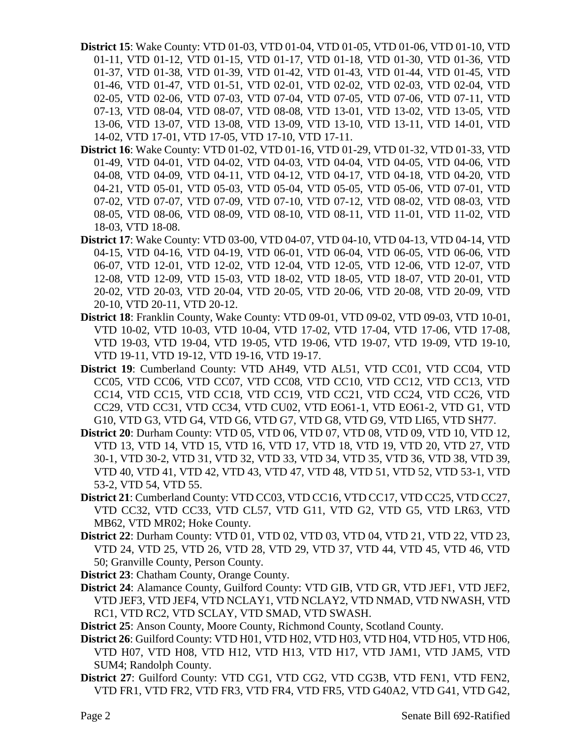- **District 15**: Wake County: VTD 01-03, VTD 01-04, VTD 01-05, VTD 01-06, VTD 01-10, VTD 01-11, VTD 01-12, VTD 01-15, VTD 01-17, VTD 01-18, VTD 01-30, VTD 01-36, VTD 01-37, VTD 01-38, VTD 01-39, VTD 01-42, VTD 01-43, VTD 01-44, VTD 01-45, VTD 01-46, VTD 01-47, VTD 01-51, VTD 02-01, VTD 02-02, VTD 02-03, VTD 02-04, VTD 02-05, VTD 02-06, VTD 07-03, VTD 07-04, VTD 07-05, VTD 07-06, VTD 07-11, VTD 07-13, VTD 08-04, VTD 08-07, VTD 08-08, VTD 13-01, VTD 13-02, VTD 13-05, VTD 13-06, VTD 13-07, VTD 13-08, VTD 13-09, VTD 13-10, VTD 13-11, VTD 14-01, VTD 14-02, VTD 17-01, VTD 17-05, VTD 17-10, VTD 17-11.
- **District 16**: Wake County: VTD 01-02, VTD 01-16, VTD 01-29, VTD 01-32, VTD 01-33, VTD 01-49, VTD 04-01, VTD 04-02, VTD 04-03, VTD 04-04, VTD 04-05, VTD 04-06, VTD 04-08, VTD 04-09, VTD 04-11, VTD 04-12, VTD 04-17, VTD 04-18, VTD 04-20, VTD 04-21, VTD 05-01, VTD 05-03, VTD 05-04, VTD 05-05, VTD 05-06, VTD 07-01, VTD 07-02, VTD 07-07, VTD 07-09, VTD 07-10, VTD 07-12, VTD 08-02, VTD 08-03, VTD 08-05, VTD 08-06, VTD 08-09, VTD 08-10, VTD 08-11, VTD 11-01, VTD 11-02, VTD 18-03, VTD 18-08.
- **District 17**: Wake County: VTD 03-00, VTD 04-07, VTD 04-10, VTD 04-13, VTD 04-14, VTD 04-15, VTD 04-16, VTD 04-19, VTD 06-01, VTD 06-04, VTD 06-05, VTD 06-06, VTD 06-07, VTD 12-01, VTD 12-02, VTD 12-04, VTD 12-05, VTD 12-06, VTD 12-07, VTD 12-08, VTD 12-09, VTD 15-03, VTD 18-02, VTD 18-05, VTD 18-07, VTD 20-01, VTD 20-02, VTD 20-03, VTD 20-04, VTD 20-05, VTD 20-06, VTD 20-08, VTD 20-09, VTD 20-10, VTD 20-11, VTD 20-12.
- **District 18**: Franklin County, Wake County: VTD 09-01, VTD 09-02, VTD 09-03, VTD 10-01, VTD 10-02, VTD 10-03, VTD 10-04, VTD 17-02, VTD 17-04, VTD 17-06, VTD 17-08, VTD 19-03, VTD 19-04, VTD 19-05, VTD 19-06, VTD 19-07, VTD 19-09, VTD 19-10, VTD 19-11, VTD 19-12, VTD 19-16, VTD 19-17.
- **District 19**: Cumberland County: VTD AH49, VTD AL51, VTD CC01, VTD CC04, VTD CC05, VTD CC06, VTD CC07, VTD CC08, VTD CC10, VTD CC12, VTD CC13, VTD CC14, VTD CC15, VTD CC18, VTD CC19, VTD CC21, VTD CC24, VTD CC26, VTD CC29, VTD CC31, VTD CC34, VTD CU02, VTD EO61-1, VTD EO61-2, VTD G1, VTD G10, VTD G3, VTD G4, VTD G6, VTD G7, VTD G8, VTD G9, VTD LI65, VTD SH77.
- **District 20**: Durham County: VTD 05, VTD 06, VTD 07, VTD 08, VTD 09, VTD 10, VTD 12, VTD 13, VTD 14, VTD 15, VTD 16, VTD 17, VTD 18, VTD 19, VTD 20, VTD 27, VTD 30-1, VTD 30-2, VTD 31, VTD 32, VTD 33, VTD 34, VTD 35, VTD 36, VTD 38, VTD 39, VTD 40, VTD 41, VTD 42, VTD 43, VTD 47, VTD 48, VTD 51, VTD 52, VTD 53-1, VTD 53-2, VTD 54, VTD 55.
- **District 21**: Cumberland County: VTD CC03, VTD CC16, VTD CC17, VTD CC25, VTD CC27, VTD CC32, VTD CC33, VTD CL57, VTD G11, VTD G2, VTD G5, VTD LR63, VTD MB62, VTD MR02; Hoke County.
- **District 22**: Durham County: VTD 01, VTD 02, VTD 03, VTD 04, VTD 21, VTD 22, VTD 23, VTD 24, VTD 25, VTD 26, VTD 28, VTD 29, VTD 37, VTD 44, VTD 45, VTD 46, VTD 50; Granville County, Person County.
- **District 23**: Chatham County, Orange County.
- **District 24**: Alamance County, Guilford County: VTD GIB, VTD GR, VTD JEF1, VTD JEF2, VTD JEF3, VTD JEF4, VTD NCLAY1, VTD NCLAY2, VTD NMAD, VTD NWASH, VTD RC1, VTD RC2, VTD SCLAY, VTD SMAD, VTD SWASH.
- **District 25**: Anson County, Moore County, Richmond County, Scotland County.
- **District 26**: Guilford County: VTD H01, VTD H02, VTD H03, VTD H04, VTD H05, VTD H06, VTD H07, VTD H08, VTD H12, VTD H13, VTD H17, VTD JAM1, VTD JAM5, VTD SUM4; Randolph County.
- **District 27**: Guilford County: VTD CG1, VTD CG2, VTD CG3B, VTD FEN1, VTD FEN2, VTD FR1, VTD FR2, VTD FR3, VTD FR4, VTD FR5, VTD G40A2, VTD G41, VTD G42,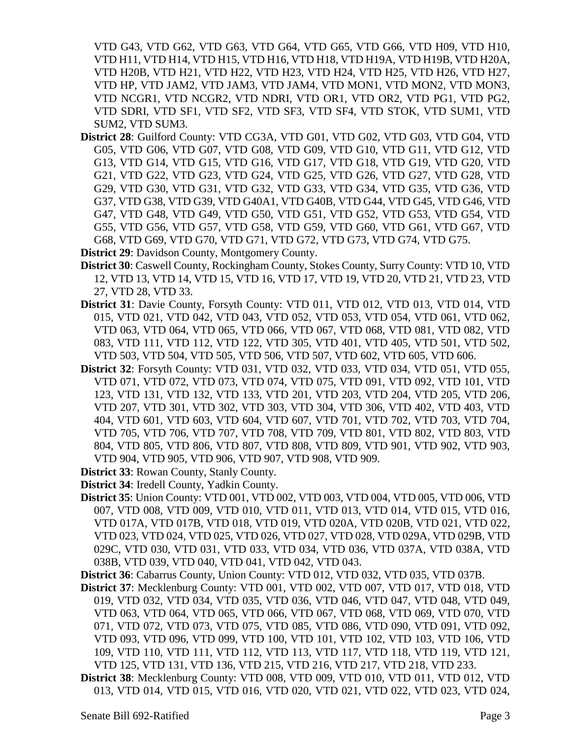VTD G43, VTD G62, VTD G63, VTD G64, VTD G65, VTD G66, VTD H09, VTD H10, VTD H11, VTD H14, VTD H15, VTD H16, VTD H18, VTD H19A, VTD H19B, VTD H20A, VTD H20B, VTD H21, VTD H22, VTD H23, VTD H24, VTD H25, VTD H26, VTD H27, VTD HP, VTD JAM2, VTD JAM3, VTD JAM4, VTD MON1, VTD MON2, VTD MON3, VTD NCGR1, VTD NCGR2, VTD NDRI, VTD OR1, VTD OR2, VTD PG1, VTD PG2, VTD SDRI, VTD SF1, VTD SF2, VTD SF3, VTD SF4, VTD STOK, VTD SUM1, VTD SUM2, VTD SUM3.

**District 28**: Guilford County: VTD CG3A, VTD G01, VTD G02, VTD G03, VTD G04, VTD G05, VTD G06, VTD G07, VTD G08, VTD G09, VTD G10, VTD G11, VTD G12, VTD G13, VTD G14, VTD G15, VTD G16, VTD G17, VTD G18, VTD G19, VTD G20, VTD G21, VTD G22, VTD G23, VTD G24, VTD G25, VTD G26, VTD G27, VTD G28, VTD G29, VTD G30, VTD G31, VTD G32, VTD G33, VTD G34, VTD G35, VTD G36, VTD G37, VTD G38, VTD G39, VTD G40A1, VTD G40B, VTD G44, VTD G45, VTD G46, VTD G47, VTD G48, VTD G49, VTD G50, VTD G51, VTD G52, VTD G53, VTD G54, VTD G55, VTD G56, VTD G57, VTD G58, VTD G59, VTD G60, VTD G61, VTD G67, VTD G68, VTD G69, VTD G70, VTD G71, VTD G72, VTD G73, VTD G74, VTD G75.

**District 29**: Davidson County, Montgomery County.

- **District 30**: Caswell County, Rockingham County, Stokes County, Surry County: VTD 10, VTD 12, VTD 13, VTD 14, VTD 15, VTD 16, VTD 17, VTD 19, VTD 20, VTD 21, VTD 23, VTD 27, VTD 28, VTD 33.
- **District 31**: Davie County, Forsyth County: VTD 011, VTD 012, VTD 013, VTD 014, VTD 015, VTD 021, VTD 042, VTD 043, VTD 052, VTD 053, VTD 054, VTD 061, VTD 062, VTD 063, VTD 064, VTD 065, VTD 066, VTD 067, VTD 068, VTD 081, VTD 082, VTD 083, VTD 111, VTD 112, VTD 122, VTD 305, VTD 401, VTD 405, VTD 501, VTD 502, VTD 503, VTD 504, VTD 505, VTD 506, VTD 507, VTD 602, VTD 605, VTD 606.
- **District 32**: Forsyth County: VTD 031, VTD 032, VTD 033, VTD 034, VTD 051, VTD 055, VTD 071, VTD 072, VTD 073, VTD 074, VTD 075, VTD 091, VTD 092, VTD 101, VTD 123, VTD 131, VTD 132, VTD 133, VTD 201, VTD 203, VTD 204, VTD 205, VTD 206, VTD 207, VTD 301, VTD 302, VTD 303, VTD 304, VTD 306, VTD 402, VTD 403, VTD 404, VTD 601, VTD 603, VTD 604, VTD 607, VTD 701, VTD 702, VTD 703, VTD 704, VTD 705, VTD 706, VTD 707, VTD 708, VTD 709, VTD 801, VTD 802, VTD 803, VTD 804, VTD 805, VTD 806, VTD 807, VTD 808, VTD 809, VTD 901, VTD 902, VTD 903, VTD 904, VTD 905, VTD 906, VTD 907, VTD 908, VTD 909.
- **District 33**: Rowan County, Stanly County.
- **District 34**: Iredell County, Yadkin County.
- **District 35**: Union County: VTD 001, VTD 002, VTD 003, VTD 004, VTD 005, VTD 006, VTD 007, VTD 008, VTD 009, VTD 010, VTD 011, VTD 013, VTD 014, VTD 015, VTD 016, VTD 017A, VTD 017B, VTD 018, VTD 019, VTD 020A, VTD 020B, VTD 021, VTD 022, VTD 023, VTD 024, VTD 025, VTD 026, VTD 027, VTD 028, VTD 029A, VTD 029B, VTD 029C, VTD 030, VTD 031, VTD 033, VTD 034, VTD 036, VTD 037A, VTD 038A, VTD 038B, VTD 039, VTD 040, VTD 041, VTD 042, VTD 043.
- **District 36**: Cabarrus County, Union County: VTD 012, VTD 032, VTD 035, VTD 037B.
- **District 37**: Mecklenburg County: VTD 001, VTD 002, VTD 007, VTD 017, VTD 018, VTD 019, VTD 032, VTD 034, VTD 035, VTD 036, VTD 046, VTD 047, VTD 048, VTD 049, VTD 063, VTD 064, VTD 065, VTD 066, VTD 067, VTD 068, VTD 069, VTD 070, VTD 071, VTD 072, VTD 073, VTD 075, VTD 085, VTD 086, VTD 090, VTD 091, VTD 092, VTD 093, VTD 096, VTD 099, VTD 100, VTD 101, VTD 102, VTD 103, VTD 106, VTD 109, VTD 110, VTD 111, VTD 112, VTD 113, VTD 117, VTD 118, VTD 119, VTD 121, VTD 125, VTD 131, VTD 136, VTD 215, VTD 216, VTD 217, VTD 218, VTD 233.
- **District 38**: Mecklenburg County: VTD 008, VTD 009, VTD 010, VTD 011, VTD 012, VTD 013, VTD 014, VTD 015, VTD 016, VTD 020, VTD 021, VTD 022, VTD 023, VTD 024,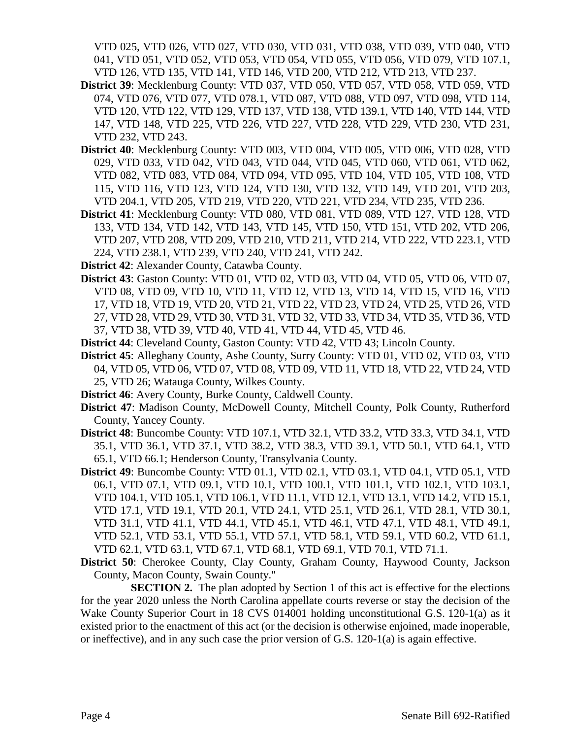VTD 025, VTD 026, VTD 027, VTD 030, VTD 031, VTD 038, VTD 039, VTD 040, VTD 041, VTD 051, VTD 052, VTD 053, VTD 054, VTD 055, VTD 056, VTD 079, VTD 107.1, VTD 126, VTD 135, VTD 141, VTD 146, VTD 200, VTD 212, VTD 213, VTD 237.

- **District 39**: Mecklenburg County: VTD 037, VTD 050, VTD 057, VTD 058, VTD 059, VTD 074, VTD 076, VTD 077, VTD 078.1, VTD 087, VTD 088, VTD 097, VTD 098, VTD 114, VTD 120, VTD 122, VTD 129, VTD 137, VTD 138, VTD 139.1, VTD 140, VTD 144, VTD 147, VTD 148, VTD 225, VTD 226, VTD 227, VTD 228, VTD 229, VTD 230, VTD 231, VTD 232, VTD 243.
- **District 40**: Mecklenburg County: VTD 003, VTD 004, VTD 005, VTD 006, VTD 028, VTD 029, VTD 033, VTD 042, VTD 043, VTD 044, VTD 045, VTD 060, VTD 061, VTD 062, VTD 082, VTD 083, VTD 084, VTD 094, VTD 095, VTD 104, VTD 105, VTD 108, VTD 115, VTD 116, VTD 123, VTD 124, VTD 130, VTD 132, VTD 149, VTD 201, VTD 203, VTD 204.1, VTD 205, VTD 219, VTD 220, VTD 221, VTD 234, VTD 235, VTD 236.
- **District 41**: Mecklenburg County: VTD 080, VTD 081, VTD 089, VTD 127, VTD 128, VTD 133, VTD 134, VTD 142, VTD 143, VTD 145, VTD 150, VTD 151, VTD 202, VTD 206, VTD 207, VTD 208, VTD 209, VTD 210, VTD 211, VTD 214, VTD 222, VTD 223.1, VTD 224, VTD 238.1, VTD 239, VTD 240, VTD 241, VTD 242.
- **District 42**: Alexander County, Catawba County.
- **District 43**: Gaston County: VTD 01, VTD 02, VTD 03, VTD 04, VTD 05, VTD 06, VTD 07, VTD 08, VTD 09, VTD 10, VTD 11, VTD 12, VTD 13, VTD 14, VTD 15, VTD 16, VTD 17, VTD 18, VTD 19, VTD 20, VTD 21, VTD 22, VTD 23, VTD 24, VTD 25, VTD 26, VTD 27, VTD 28, VTD 29, VTD 30, VTD 31, VTD 32, VTD 33, VTD 34, VTD 35, VTD 36, VTD 37, VTD 38, VTD 39, VTD 40, VTD 41, VTD 44, VTD 45, VTD 46.
- **District 44**: Cleveland County, Gaston County: VTD 42, VTD 43; Lincoln County.
- **District 45**: Alleghany County, Ashe County, Surry County: VTD 01, VTD 02, VTD 03, VTD 04, VTD 05, VTD 06, VTD 07, VTD 08, VTD 09, VTD 11, VTD 18, VTD 22, VTD 24, VTD 25, VTD 26; Watauga County, Wilkes County.
- **District 46**: Avery County, Burke County, Caldwell County.
- **District 47**: Madison County, McDowell County, Mitchell County, Polk County, Rutherford County, Yancey County.
- **District 48**: Buncombe County: VTD 107.1, VTD 32.1, VTD 33.2, VTD 33.3, VTD 34.1, VTD 35.1, VTD 36.1, VTD 37.1, VTD 38.2, VTD 38.3, VTD 39.1, VTD 50.1, VTD 64.1, VTD 65.1, VTD 66.1; Henderson County, Transylvania County.
- **District 49**: Buncombe County: VTD 01.1, VTD 02.1, VTD 03.1, VTD 04.1, VTD 05.1, VTD 06.1, VTD 07.1, VTD 09.1, VTD 10.1, VTD 100.1, VTD 101.1, VTD 102.1, VTD 103.1, VTD 104.1, VTD 105.1, VTD 106.1, VTD 11.1, VTD 12.1, VTD 13.1, VTD 14.2, VTD 15.1, VTD 17.1, VTD 19.1, VTD 20.1, VTD 24.1, VTD 25.1, VTD 26.1, VTD 28.1, VTD 30.1, VTD 31.1, VTD 41.1, VTD 44.1, VTD 45.1, VTD 46.1, VTD 47.1, VTD 48.1, VTD 49.1, VTD 52.1, VTD 53.1, VTD 55.1, VTD 57.1, VTD 58.1, VTD 59.1, VTD 60.2, VTD 61.1, VTD 62.1, VTD 63.1, VTD 67.1, VTD 68.1, VTD 69.1, VTD 70.1, VTD 71.1.
- **District 50**: Cherokee County, Clay County, Graham County, Haywood County, Jackson County, Macon County, Swain County."

**SECTION 2.** The plan adopted by Section 1 of this act is effective for the elections for the year 2020 unless the North Carolina appellate courts reverse or stay the decision of the Wake County Superior Court in 18 CVS 014001 holding unconstitutional G.S. 120-1(a) as it existed prior to the enactment of this act (or the decision is otherwise enjoined, made inoperable, or ineffective), and in any such case the prior version of G.S.  $120-1(a)$  is again effective.